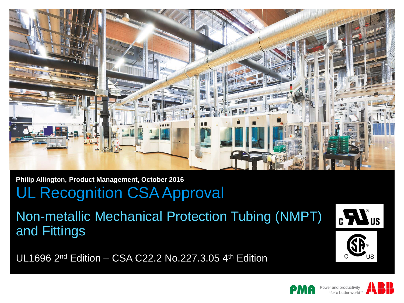

**Philip Allington, Product Management, October 2016**

# UL Recognition CSA Approval

Non-metallic Mechanical Protection Tubing (NMPT) and Fittings

UL1696 2nd Edition – CSA C22.2 No.227.3.05 4th Edition







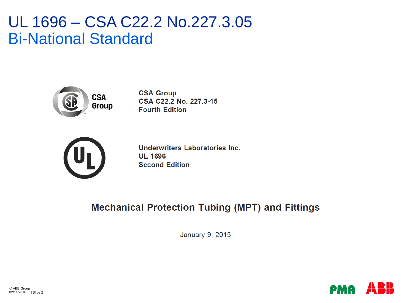### UL 1696 – CSA C22.2 No.227.3.05 Bi-National Standard



**CSA Group** CSA C22.2 No. 227.3-15 **Fourth Edition** 



Underwriters Laboratories Inc. **UL 1696 Second Edition** 

### **Mechanical Protection Tubing (MPT) and Fittings**

January 9, 2015

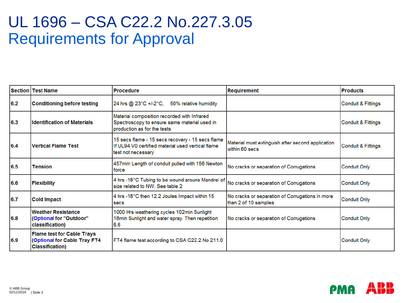### UL 1696 – CSA C22.2 No.227.3.05 Requirements for Approval

|     | <b>Section   Test Name</b>                                                                   | <b>Procedure</b>                                                                                                            | <b>Requirement</b>                                                      | <b>Products</b>     |
|-----|----------------------------------------------------------------------------------------------|-----------------------------------------------------------------------------------------------------------------------------|-------------------------------------------------------------------------|---------------------|
| 6.2 | <b>Conditioning before testing</b>                                                           | 24 hrs @ 23°C +/-2°C,<br>50% relative humidity                                                                              |                                                                         | Conduit & Fittings  |
| 6.3 | <b>Identification of Materials</b>                                                           | Material composition recorded with Infrared<br>Spectroscopy to ensure same material used in<br>production as for the tests  |                                                                         | Conduit & Fittings  |
| 6.4 | <b>Vertical Flame Test</b>                                                                   | 15 secs flame - 15 secs recovery - 15 secs flame<br>If UL94 V0 certified material used vertical flame<br>test not necessary | Material must extinguish after second application<br>within 60 secs     | Conduit & Fittings  |
| 6.5 | <b>Tension</b>                                                                               | 457mm Length of conduit pulled with 156 Newton<br><b>force</b>                                                              | No cracks or separation of Corrugations                                 | <b>Conduit Only</b> |
| 6.6 | <b>Flexibility</b>                                                                           | 4 hrs -18°C Tubing to be wound arouns Mandrel of<br>size related to NW. See table 2                                         | No cracks or separation of Corrugations                                 | <b>Conduit Only</b> |
| 6.7 | <b>Cold Impact</b>                                                                           | 4 hrs -18°C then 12.2 Joules Impact within 15<br><b>secs</b>                                                                | No cracks or separation of Corrugations in more<br>than 2 of 10 samples | <b>Conduit Only</b> |
| 6.8 | <b>Weather Resistance</b><br>(Optional for "Outdoor"<br>classification)                      | 1000 Hrs weathering cycles 102min Sunlight<br>18min Sunlight and water spray. Then repetition<br>6.6                        | No cracks or separation of Corrugations                                 | <b>Conduit Only</b> |
| 6.9 | <b>Flame test for Cable Trays</b><br>(Optional for Cable Tray FT4<br><b>Classification</b> ) | FT4 flame test according to CSA C22.2 No 211.0                                                                              |                                                                         | <b>Conduit Only</b> |

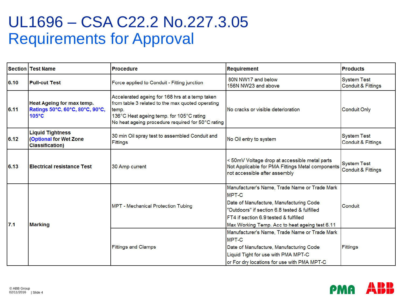# UL1696 – CSA C22.2 No.227.3.05 Requirements for Approval

|      | Section   Test Name                                                                | <b>Procedure</b>                                                                                                                                                                                             | <b>Requirement</b>                                                                                                                                                                                                                                   | <b>Products</b>                                     |
|------|------------------------------------------------------------------------------------|--------------------------------------------------------------------------------------------------------------------------------------------------------------------------------------------------------------|------------------------------------------------------------------------------------------------------------------------------------------------------------------------------------------------------------------------------------------------------|-----------------------------------------------------|
| 6.10 | <b>Pull-out Test</b>                                                               | Force applied to Conduit - Fitting junction                                                                                                                                                                  | 80N NW17 and below<br>156N NW23 and above                                                                                                                                                                                                            | <b>System Test</b><br><b>Conduit &amp; Fittings</b> |
| 6.11 | Heat Ageing for max temp.<br>Ratings 50°C, 60°C, 80°C, 90°C,<br>105°C              | Accelerated ageing for 168 hrs at a temp taken<br>from table 3 related to the max quoted operating<br>temp.<br>136°C Heat ageing temp. for 105°C rating<br>No heat ageing procedure required for 50°C rating | No cracks or visible deterioration                                                                                                                                                                                                                   | <b>Conduit Only</b>                                 |
| 6.12 | <b>Liquid Tightness</b><br><b>(Optional for Wet Zone</b><br><b>Classification)</b> | 30 min Oil spray test to assembled Conduit and<br><b>Fittings</b>                                                                                                                                            | No Oil entry to system                                                                                                                                                                                                                               | <b>System Test</b><br>Conduit & Fittings            |
| 6.13 | <b>Electrical resistance Test</b>                                                  | 30 Amp current                                                                                                                                                                                               | < 50mV Voltage drop at accessible metal parts<br>Not Applicable for PMA Fittings Metal components<br>not accessible after assembly                                                                                                                   | <b>System Test</b><br><b>Conduit &amp; Fittings</b> |
| 7.1  | <b>Marking</b>                                                                     | MPT - Mechanical Protection Tubing                                                                                                                                                                           | Manufacturer's Name, Trade Name or Trade Mark<br><b>IMPT-C</b><br>Date of Manufacture, Manufacturing Code<br>"Outdoors" if section 6.8 tested & fulfilled<br>FT4 if section 6.9 tested & fulfilled<br>Max Working Temp. Acc to heat ageing test 6.11 | Conduit                                             |
|      |                                                                                    | <b>Fittings and Clamps</b>                                                                                                                                                                                   | Manufacturer's Name, Trade Name or Trade Mark<br><b>MPT-C</b><br>Date of Manufacture, Manufacturing Code<br>Liquid Tight for use with PMA MPT-C<br>or For dry locations for use with PMA MPT-C                                                       | Fittings                                            |

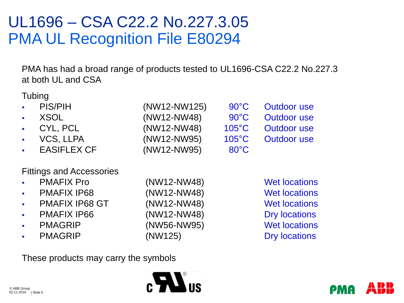# UL1696 – CSA C22.2 No.227.3.05 PMA UL Recognition File E80294

PMA has had a broad range of products tested to UL1696-CSA C22.2 No.227.3 at both UL and CSA

**Tubing** 

| $\cdot$ PIS/PIH | (NW12-NW125) | $90^{\circ}$ C  | Outdoor use        |
|-----------------|--------------|-----------------|--------------------|
| . XSOL          | (NW12-NW48)  | $90^{\circ}$ C  | Outdoor use        |
| . CYL, PCL      | (NW12-NW48)  | $105^{\circ}$ C | Outdoor use        |
| · VCS, LLPA     | (NW12-NW95)  | $105^{\circ}$ C | <b>Outdoor use</b> |
| - EASIFLEX CF   | (NW12-NW95)  | $80^{\circ}$ C  |                    |
|                 |              |                 |                    |

#### Fittings and Accessories

| PMAFIX Pro     | (NW12-NW48)   | Wet locations        |
|----------------|---------------|----------------------|
| PMAFIX IP68    | (NW12-NW48)   | <b>Wet locations</b> |
| PMAFIX IP68 GT | $(NW12-NW48)$ | <b>Wet locations</b> |

- 
- 
- 
- PMAGRIP (NW125) Dry locations

PMAFIX IP66 (NW12-NW48) Dry locations PMAGRIP (NW56-NW95) Wet locations

**Wet locations Wet locations** 

These products may carry the symbols



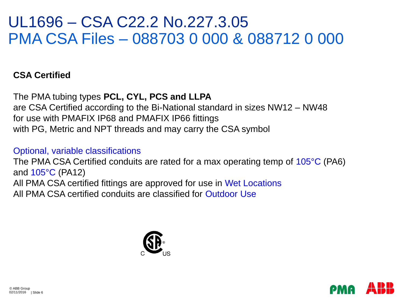### UL1696 – CSA C22.2 No.227.3.05 PMA CSA Files – 088703 0 000 & 088712 0 000

### **CSA Certified**

The PMA tubing types **PCL, CYL, PCS and LLPA**  are CSA Certified according to the Bi-National standard in sizes NW12 – NW48 for use with PMAFIX IP68 and PMAFIX IP66 fittings with PG, Metric and NPT threads and may carry the CSA symbol

#### Optional, variable classifications

The PMA CSA Certified conduits are rated for a max operating temp of 105<sup>°</sup>C (PA6) and 105°C (PA12) All PMA CSA certified fittings are approved for use in Wet Locations All PMA CSA certified conduits are classified for Outdoor Use



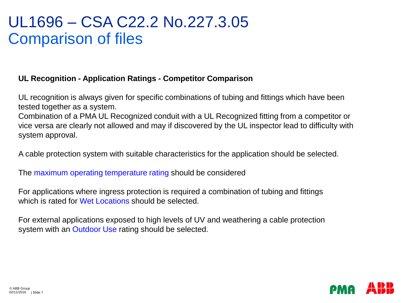### UL1696 – CSA C22.2 No.227.3.05 Comparison of files

#### **UL Recognition - Application Ratings - Competitor Comparison**

UL recognition is always given for specific combinations of tubing and fittings which have been tested together as a system.

Combination of a PMA UL Recognized conduit with a UL Recognized fitting from a competitor or vice versa are clearly not allowed and may if discovered by the UL inspector lead to difficulty with system approval.

A cable protection system with suitable characteristics for the application should be selected.

The maximum operating temperature rating should be considered

For applications where ingress protection is required a combination of tubing and fittings which is rated for Wet Locations should be selected.

For external applications exposed to high levels of UV and weathering a cable protection system with an Outdoor Use rating should be selected.

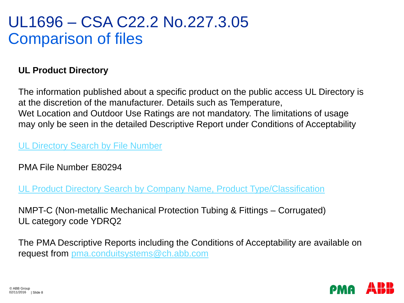### UL1696 – CSA C22.2 No.227.3.05 Comparison of files

### **UL Product Directory**

The information published about a specific product on the public access UL Directory is at the discretion of the manufacturer. Details such as Temperature, Wet Location and Outdoor Use Ratings are not mandatory. The limitations of usage may only be seen in the detailed Descriptive Report under Conditions of Acceptability

### [UL Directory Search by File Number](http://database.ul.com/cgi-bin/XYV/template/LISEXT/1FRAME/gfilenbr.html)

PMA File Number E80294

[UL Product Directory Search by Company Name, Product Type/Classification](http://database.ul.com/cgi-bin/XYV/template/LISEXT/1FRAME/index.html)

NMPT-C (Non-metallic Mechanical Protection Tubing & Fittings – Corrugated) UL category code YDRQ2

The PMA Descriptive Reports including the Conditions of Acceptability are available on request from [pma.conduitsystems@ch.abb.com](mailto:pma.conduitsystems@ch.abb.com)